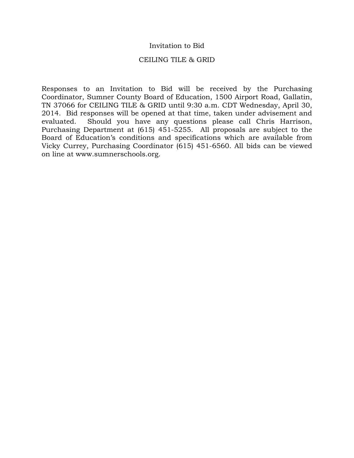### Invitation to Bid

### CEILING TILE & GRID

Responses to an Invitation to Bid will be received by the Purchasing Coordinator, Sumner County Board of Education, 1500 Airport Road, Gallatin, TN 37066 for CEILING TILE & GRID until 9:30 a.m. CDT Wednesday, April 30, 2014. Bid responses will be opened at that time, taken under advisement and evaluated. Should you have any questions please call Chris Harrison, Purchasing Department at (615) 451-5255. All proposals are subject to the Board of Education's conditions and specifications which are available from Vicky Currey, Purchasing Coordinator (615) 451-6560. All bids can be viewed on line at www.sumnerschools.org.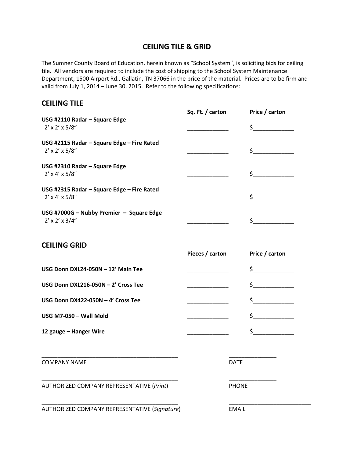# **CEILING TILE & GRID**

The Sumner County Board of Education, herein known as "School System", is soliciting bids for ceiling tile. All vendors are required to include the cost of shipping to the School System Maintenance Department, 1500 Airport Rd., Gallatin, TN 37066 in the price of the material. Prices are to be firm and valid from July 1, 2014 – June 30, 2015. Refer to the following specifications:

## **CEILING TILE**

|                                                                           | Sq. Ft. / carton | Price / carton |
|---------------------------------------------------------------------------|------------------|----------------|
| USG #2110 Radar - Square Edge<br>$2' \times 2' \times 5/8''$              |                  | \$             |
| USG #2115 Radar - Square Edge - Fire Rated<br>$2' \times 2' \times 5/8''$ |                  | \$             |
| USG #2310 Radar - Square Edge<br>$2' \times 4' \times 5/8''$              |                  | Ś.             |
| USG #2315 Radar - Square Edge - Fire Rated<br>$2' \times 4' \times 5/8''$ |                  | $\zeta$        |
| USG #7000G - Nubby Premier - Square Edge<br>$2' \times 2' \times 3/4''$   |                  |                |
| <b>CEILING GRID</b>                                                       |                  |                |

|                                       | Pieces / carton | Price / carton |
|---------------------------------------|-----------------|----------------|
| USG Donn DXL24-050N - 12' Main Tee    |                 | $\zeta$        |
| USG Donn DXL216-050N $-$ 2' Cross Tee |                 |                |
| USG Donn DX422-050N - 4' Cross Tee    |                 |                |
| USG M7-050 - Wall Mold                |                 |                |
| 12 gauge - Hanger Wire                |                 |                |

\_\_\_\_\_\_\_\_\_\_\_\_\_\_\_\_\_\_\_\_\_\_\_\_\_\_\_\_\_\_\_\_\_\_\_\_\_\_\_\_\_\_\_ \_\_\_\_\_\_\_\_\_\_\_\_\_\_\_

\_\_\_\_\_\_\_\_\_\_\_\_\_\_\_\_\_\_\_\_\_\_\_\_\_\_\_\_\_\_\_\_\_\_\_\_\_\_\_\_\_\_\_ \_\_\_\_\_\_\_\_\_\_\_\_\_\_\_

\_\_\_\_\_\_\_\_\_\_\_\_\_\_\_\_\_\_\_\_\_\_\_\_\_\_\_\_\_\_\_\_\_\_\_\_\_\_\_\_\_\_\_ \_\_\_\_\_\_\_\_\_\_\_\_\_\_\_\_\_\_\_\_\_\_\_\_\_\_

COMPANY NAME DATE

AUTHORIZED COMPANY REPRESENTATIVE (*Print*) PHONE

AUTHORIZED COMPANY REPRESENTATIVE (*Signature*) EMAIL